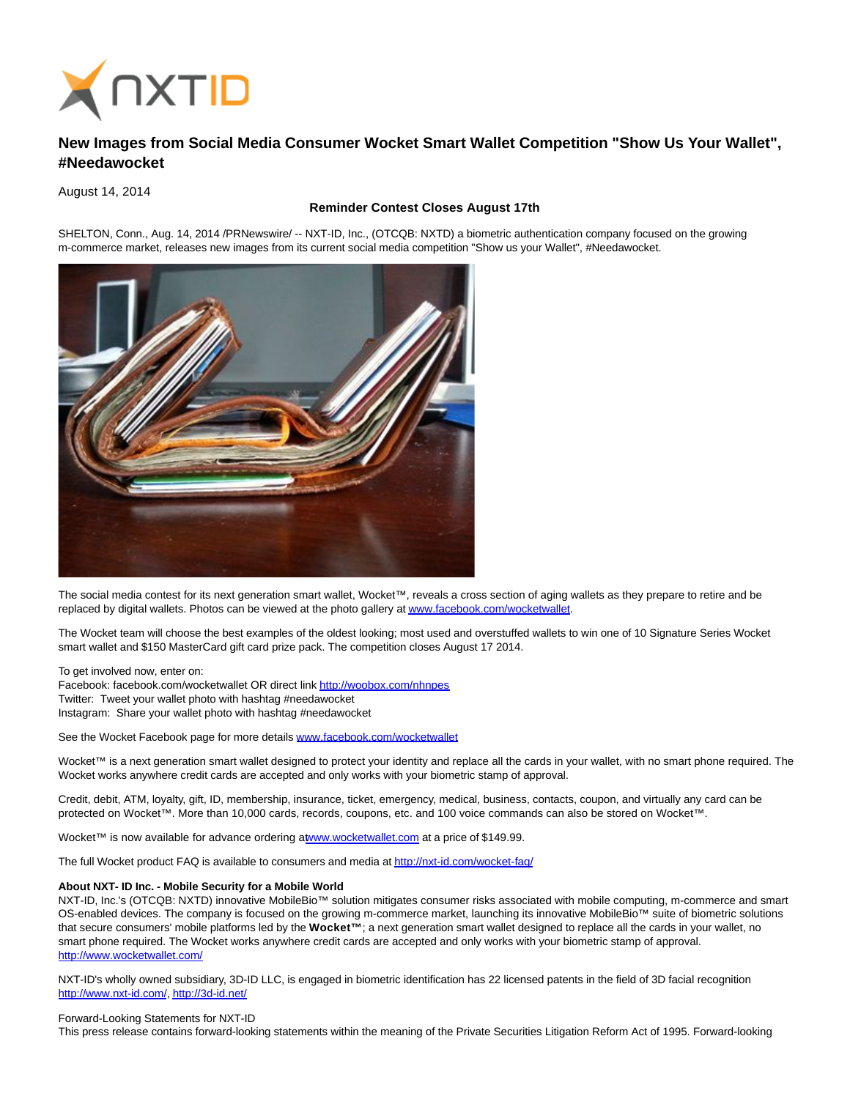

## **New Images from Social Media Consumer Wocket Smart Wallet Competition "Show Us Your Wallet", #Needawocket**

August 14, 2014

## **Reminder Contest Closes August 17th**

SHELTON, Conn., Aug. 14, 2014 /PRNewswire/ -- NXT-ID, Inc., (OTCQB: NXTD) a biometric authentication company focused on the growing m-commerce market, releases new images from its current social media competition "Show us your Wallet", #Needawocket.



The social media contest for its next generation smart wallet, Wocket™, reveals a cross section of aging wallets as they prepare to retire and be replaced by digital wallets. Photos can be viewed at the photo gallery a[t www.facebook.com/wocketwallet.](http://www.facebook.com/wocketwallet)

The Wocket team will choose the best examples of the oldest looking; most used and overstuffed wallets to win one of 10 Signature Series Wocket smart wallet and \$150 MasterCard gift card prize pack. The competition closes August 17 2014.

To get involved now, enter on: Facebook: facebook.com/wocketwallet OR direct lin[k http://woobox.com/nhnpes](http://woobox.com/nhnpes)  Twitter: Tweet your wallet photo with hashtag #needawocket Instagram: Share your wallet photo with hashtag #needawocket

See the Wocket Facebook page for more details [www.facebook.com/wocketwallet](http://www.facebook.com/wocketwallet)

Wocket™ is a next generation smart wallet designed to protect your identity and replace all the cards in your wallet, with no smart phone required. The Wocket works anywhere credit cards are accepted and only works with your biometric stamp of approval.

Credit, debit, ATM, loyalty, gift, ID, membership, insurance, ticket, emergency, medical, business, contacts, coupon, and virtually any card can be protected on Wocket™. More than 10,000 cards, records, coupons, etc. and 100 voice commands can also be stored on Wocket™.

Wocket™ is now available for advance ordering [at www.wocketwallet.com a](http://www.wocketwallet.com/)t a price of \$149.99.

The full Wocket product FAQ is available to consumers and media a[t http://nxt-id.com/wocket-faq/](http://nxt-id.com/wocket-faq/)

## **About NXT- ID Inc. - Mobile Security for a Mobile World**

NXT-ID, Inc.'s (OTCQB: NXTD) innovative MobileBio™ solution mitigates consumer risks associated with mobile computing, m-commerce and smart OS-enabled devices. The company is focused on the growing m-commerce market, launching its innovative MobileBio™ suite of biometric solutions that secure consumers' mobile platforms led by the **Wocket™** ; a next generation smart wallet designed to replace all the cards in your wallet, no smart phone required. The Wocket works anywhere credit cards are accepted and only works with your biometric stamp of approval. <http://www.wocketwallet.com/>

NXT-ID's wholly owned subsidiary, 3D-ID LLC, is engaged in biometric identification has 22 licensed patents in the field of 3D facial recognition [http://www.nxt-id.com/,](http://www.nxt-id.com/)<http://3d-id.net/>

## Forward-Looking Statements for NXT-ID

This press release contains forward-looking statements within the meaning of the Private Securities Litigation Reform Act of 1995. Forward-looking